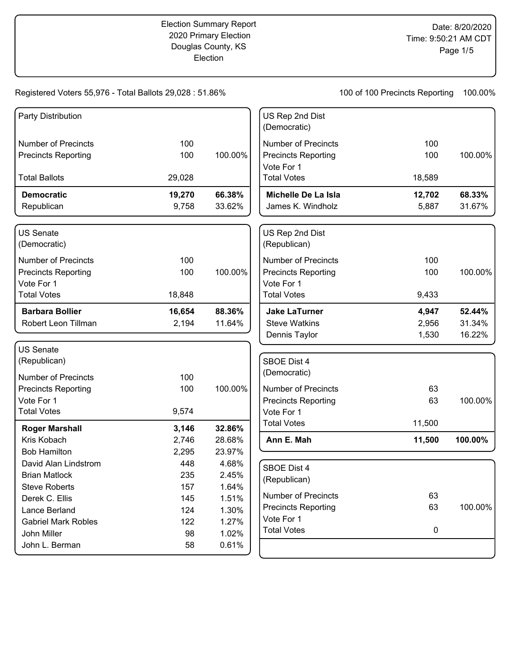## Registered Voters 55,976 - Total Ballots 29,028 : 51.86%

100 of 100 Precincts Reporting 100.00%

| Party Distribution               |        |         | US Rep 2nd Dist<br>(Democratic)    |        |         |
|----------------------------------|--------|---------|------------------------------------|--------|---------|
| <b>Number of Precincts</b>       | 100    |         | <b>Number of Precincts</b>         | 100    |         |
| <b>Precincts Reporting</b>       | 100    | 100.00% | <b>Precincts Reporting</b>         | 100    | 100.00% |
|                                  |        |         | Vote For 1                         |        |         |
| <b>Total Ballots</b>             | 29,028 |         | <b>Total Votes</b>                 | 18,589 |         |
| <b>Democratic</b>                | 19,270 | 66.38%  | Michelle De La Isla                | 12,702 | 68.33%  |
| Republican                       | 9,758  | 33.62%  | James K. Windholz                  | 5,887  | 31.67%  |
| <b>US Senate</b><br>(Democratic) |        |         | US Rep 2nd Dist<br>(Republican)    |        |         |
| <b>Number of Precincts</b>       | 100    |         | <b>Number of Precincts</b>         | 100    |         |
| <b>Precincts Reporting</b>       | 100    | 100.00% | <b>Precincts Reporting</b>         | 100    | 100.00% |
| Vote For 1                       |        |         | Vote For 1                         |        |         |
| <b>Total Votes</b>               | 18,848 |         | <b>Total Votes</b>                 | 9,433  |         |
| <b>Barbara Bollier</b>           | 16,654 | 88.36%  | <b>Jake LaTurner</b>               | 4,947  | 52.44%  |
| Robert Leon Tillman              | 2,194  | 11.64%  | <b>Steve Watkins</b>               | 2,956  | 31.34%  |
|                                  |        |         | Dennis Taylor                      | 1,530  | 16.22%  |
| <b>US Senate</b>                 |        |         |                                    |        |         |
| (Republican)                     |        |         | <b>SBOE Dist 4</b>                 |        |         |
| Number of Precincts              | 100    |         | (Democratic)                       |        |         |
| <b>Precincts Reporting</b>       | 100    | 100.00% | <b>Number of Precincts</b>         | 63     |         |
| Vote For 1                       |        |         | <b>Precincts Reporting</b>         | 63     | 100.00% |
| <b>Total Votes</b>               | 9,574  |         | Vote For 1                         |        |         |
| <b>Roger Marshall</b>            | 3,146  | 32.86%  | <b>Total Votes</b>                 | 11,500 |         |
| Kris Kobach                      | 2,746  | 28.68%  | Ann E. Mah                         | 11,500 | 100.00% |
| <b>Bob Hamilton</b>              | 2,295  | 23.97%  |                                    |        |         |
| David Alan Lindstrom             | 448    | 4.68%   |                                    |        |         |
| <b>Brian Matlock</b>             | 235    | 2.45%   | <b>SBOE Dist 4</b><br>(Republican) |        |         |
| <b>Steve Roberts</b>             | 157    | 1.64%   |                                    |        |         |
| Derek C. Ellis                   | 145    | 1.51%   | <b>Number of Precincts</b>         | 63     |         |
| Lance Berland                    | 124    | 1.30%   | <b>Precincts Reporting</b>         | 63     | 100.00% |
| <b>Gabriel Mark Robles</b>       | 122    | 1.27%   | Vote For 1                         |        |         |
| John Miller                      | 98     | 1.02%   | <b>Total Votes</b>                 | 0      |         |
| John L. Berman                   | 58     | 0.61%   |                                    |        |         |
|                                  |        |         |                                    |        |         |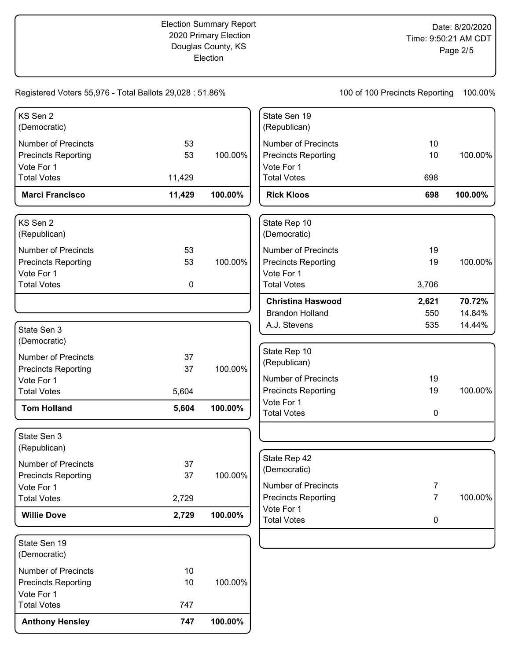Registered Voters 55,976 - Total Ballots 29,028 : 51.86% 100 of 100 Precincts Reporting 100.00% KS Sen 2 (Democratic) Number of Precincts 53 Precincts Reporting 63 Vote For 1 **Marci Francisco 11,429 100.00%** Total Votes 11,429 100.00% KS Sen 2 (Republican) Number of Precincts 53 Precincts Reporting 53 Vote For 1 Total Votes **0** 100.00% State Sen 3 (Democratic) Number of Precincts 37 Precincts Reporting 37 Vote For 1 **Tom Holland 5,604 100.00%** Total Votes 5,604 100.00% State Sen 3 (Republican) Number of Precincts 37 Precincts Reporting 37 Vote For 1 **Willie Dove 2,729 100.00%** Total Votes 2,729 100.00% State Sen 19 (Democratic) Number of Precincts 10 Precincts Reporting 10 Vote For 1 **Anthony Hensley 747 100.00%** Total Votes 747 100.00% State Sen 19 (Republican) Number of Precincts 10 Precincts Reporting 10 Vote For 1 **Rick Kloos 698 100.00%** Total Votes 698 100.00% State Rep 10 (Democratic) Number of Precincts 19 Precincts Reporting 19 Vote For 1 **Christina Haswood 2,621 70.72%** Brandon Holland 550 14.84% A.J. Stevens 635 14.44% Total Votes 3,706 100.00% State Rep 10 (Republican) Number of Precincts 19 Precincts Reporting 19 Vote For 1 Total Votes **0** 100.00% State Rep 42 (Democratic) Number of Precincts 7 Precincts Reporting 7 Vote For 1 Total Votes 0 100.00%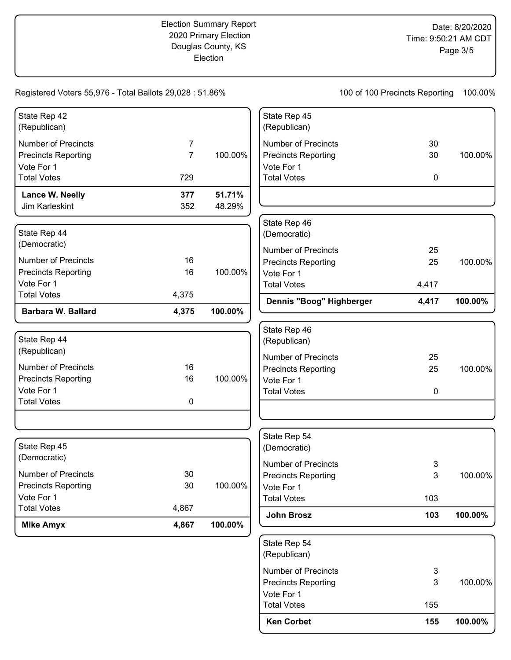|                                                          |                |                  | (Republican)                                             |                                |         |
|----------------------------------------------------------|----------------|------------------|----------------------------------------------------------|--------------------------------|---------|
|                                                          |                |                  | State Rep 54                                             |                                |         |
| <b>Total Votes</b><br><b>Mike Amyx</b>                   | 4,867<br>4,867 | 100.00%          | John Brosz                                               | 103                            | 100.00% |
| Vote For 1                                               |                |                  | <b>Total Votes</b>                                       | 103                            |         |
| Number of Precincts<br><b>Precincts Reporting</b>        | 30<br>30       | 100.00%          | <b>Precincts Reporting</b><br>Vote For 1                 | 3                              | 100.00% |
| (Democratic)                                             |                |                  | Number of Precincts                                      | 3                              |         |
| State Rep 45                                             |                |                  | State Rep 54<br>(Democratic)                             |                                |         |
|                                                          |                |                  |                                                          |                                |         |
| Vote For 1<br><b>Total Votes</b>                         | $\mathbf 0$    |                  | <b>Total Votes</b>                                       | $\pmb{0}$                      |         |
| <b>Precincts Reporting</b>                               | 16             | 100.00%          | Vote For 1                                               |                                |         |
| <b>Number of Precincts</b>                               | 16             |                  | <b>Number of Precincts</b><br><b>Precincts Reporting</b> | 25<br>25                       | 100.00% |
| State Rep 44<br>(Republican)                             |                |                  | State Rep 46<br>(Republican)                             |                                |         |
| <b>Barbara W. Ballard</b>                                | 4,375          | 100.00%          |                                                          |                                |         |
| <b>Total Votes</b>                                       | 4,375          |                  | Dennis "Boog" Highberger                                 | 4,417                          | 100.00% |
| Vote For 1                                               |                |                  | Vote For 1<br><b>Total Votes</b>                         | 4,417                          |         |
| <b>Number of Precincts</b><br><b>Precincts Reporting</b> | 16<br>16       | 100.00%          | <b>Precincts Reporting</b>                               | 25                             | 100.00% |
| State Rep 44<br>(Democratic)                             |                |                  | (Democratic)<br><b>Number of Precincts</b>               | 25                             |         |
|                                                          |                |                  | State Rep 46                                             |                                |         |
| Lance W. Neelly<br>Jim Karleskint                        | 377<br>352     | 51.71%<br>48.29% |                                                          |                                |         |
| <b>Total Votes</b>                                       | 729            |                  | <b>Total Votes</b>                                       | $\pmb{0}$                      |         |
| <b>Precincts Reporting</b><br>Vote For 1                 | $\overline{7}$ | 100.00%          | <b>Precincts Reporting</b><br>Vote For 1                 | 30                             | 100.00% |
| <b>Number of Precincts</b>                               | 7              |                  | <b>Number of Precincts</b>                               | 30                             |         |
| State Rep 42<br>(Republican)                             |                |                  | State Rep 45<br>(Republican)                             |                                |         |
| Registered Voters 55,976 - Total Ballots 29,028 : 51.86% |                |                  |                                                          | 100 of 100 Precincts Reporting | 100.00% |

| Vote For 1<br><b>Total Votes</b> | 155 |         |
|----------------------------------|-----|---------|
|                                  |     |         |
|                                  |     |         |
| Precincts Reporting              | 3   | 100.00% |
| Number of Precincts              | 3   |         |
| State Rep 54<br>(Republican)     |     |         |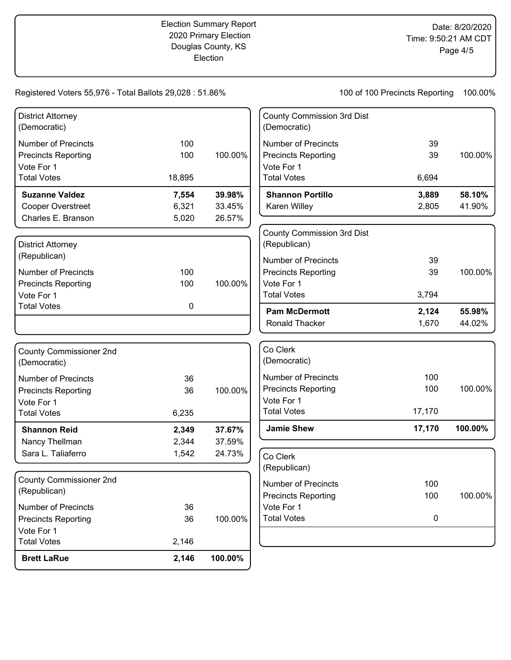Registered Voters 55,976 - Total Ballots 29,028 : 51.86%

100 of 100 Precincts Reporting 100.00%

| <b>Brett LaRue</b>                                                           | 2,146          | 100.00%          |                                                                                 |                |                  |
|------------------------------------------------------------------------------|----------------|------------------|---------------------------------------------------------------------------------|----------------|------------------|
| <b>Total Votes</b>                                                           | 2,146          |                  |                                                                                 |                |                  |
| <b>Number of Precincts</b><br><b>Precincts Reporting</b><br>Vote For 1       | 36<br>36       | 100.00%          | Vote For 1<br><b>Total Votes</b>                                                | 0              |                  |
| County Commissioner 2nd<br>(Republican)                                      |                |                  | <b>Number of Precincts</b><br><b>Precincts Reporting</b>                        | 100<br>100     | 100.00%          |
|                                                                              | 1,542          | 24.73%           | Co Clerk<br>(Republican)                                                        |                |                  |
| Nancy Thellman<br>Sara L. Taliaferro                                         | 2,344          | 37.59%           |                                                                                 |                |                  |
| <b>Shannon Reid</b>                                                          | 2,349          | 37.67%           | <b>Jamie Shew</b>                                                               | 17,170         | 100.00%          |
| Vote For 1<br><b>Total Votes</b>                                             | 6,235          |                  | Vote For 1<br><b>Total Votes</b>                                                | 17,170         |                  |
| <b>Precincts Reporting</b>                                                   | 36<br>36       | 100.00%          | <b>Precincts Reporting</b>                                                      | 100            | 100.00%          |
| <b>County Commissioner 2nd</b><br>(Democratic)<br><b>Number of Precincts</b> |                |                  | Co Clerk<br>(Democratic)<br><b>Number of Precincts</b>                          | 100            |                  |
|                                                                              |                |                  | Ronald Thacker                                                                  | 1,670          | 44.02%           |
| Vote For 1<br><b>Total Votes</b>                                             | 0              |                  | <b>Total Votes</b><br><b>Pam McDermott</b>                                      | 3,794<br>2,124 | 55.98%           |
| <b>Precincts Reporting</b>                                                   | 100            | 100.00%          | Vote For 1                                                                      |                |                  |
| <b>Number of Precincts</b>                                                   | 100            |                  | <b>Precincts Reporting</b>                                                      | 39             | 100.00%          |
| <b>District Attorney</b><br>(Republican)                                     |                |                  | <b>County Commission 3rd Dist</b><br>(Republican)<br><b>Number of Precincts</b> | 39             |                  |
| Charles E. Branson                                                           | 5,020          | 26.57%           |                                                                                 |                |                  |
| <b>Suzanne Valdez</b><br>Cooper Overstreet                                   | 7,554<br>6,321 | 39.98%<br>33.45% | <b>Shannon Portillo</b><br>Karen Willey                                         | 3,889<br>2,805 | 58.10%<br>41.90% |
| <b>Total Votes</b>                                                           | 18,895         |                  | <b>Total Votes</b>                                                              | 6,694          |                  |
| <b>Precincts Reporting</b><br>Vote For 1                                     | 100            | 100.00%          | <b>Precincts Reporting</b><br>Vote For 1                                        | 39             | 100.00%          |
| <b>Number of Precincts</b>                                                   | 100            |                  | <b>Number of Precincts</b>                                                      | 39             |                  |
| <b>District Attorney</b><br>(Democratic)                                     |                |                  | <b>County Commission 3rd Dist</b><br>(Democratic)                               |                |                  |